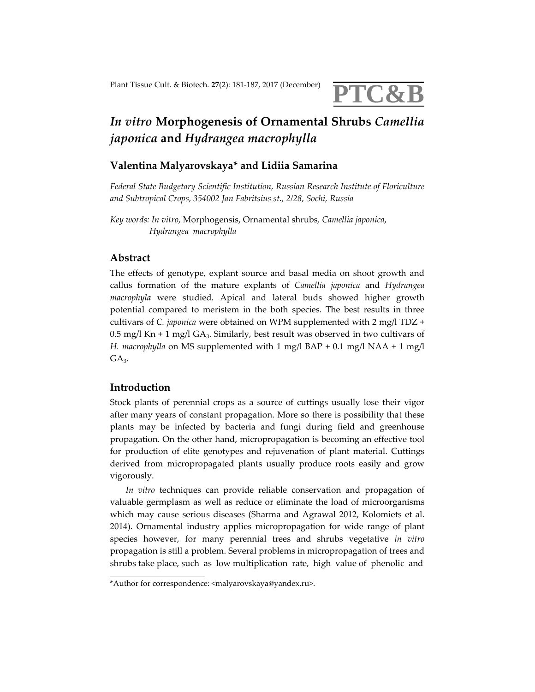

# *In vitro* **Morphogenesis of Ornamental Shrubs** *Camellia japonica* **and** *Hydrangea macrophylla*

## **Valentina Malyarovskaya\* and Lidiia Samarina**

*Federal State Budgetary Scientific Institution, Russian Research Institute of Floriculture and Subtropical Crops, 354002 Jan Fabritsius st., 2/28, Sochi, Russia*

*Key words: In vitro*, Morphogensis, Ornamental shrubs*, Camellia japonica*, *Hydrangea macrophylla*

#### **Abstract**

The effects of genotype, explant source and basal media on shoot growth and callus formation of the mature explants of *Camellia japonica* and *Hydrangea macrophyla* were studied*.* Apical and lateral buds showed higher growth potential compared to meristem in the both species. The best results in three cultivars of *C. japonica* were obtained on WPM supplemented with 2 mg/l TDZ + 0.5 mg/l Kn + 1 mg/l GA<sub>3</sub>. Similarly, best result was observed in two cultivars of *H. macrophylla* on MS supplemented with 1 mg/l BAP + 0.1 mg/l NAA + 1 mg/l  $GA<sub>3</sub>$ .

### **Introduction**

Stock plants of perennial crops as a source of cuttings usually lose their vigor after many years of constant propagation. More so there is possibility that these plants may be infected by bacteria and fungi during field and greenhouse propagation. On the other hand, micropropagation is becoming an effective tool for production of elite genotypes and rejuvenation of plant material. Cuttings derived from micropropagated plants usually produce roots easily and grow vigorously.

*In vitro* techniques can provide reliable conservation and propagation of valuable germplasm as well as reduce or eliminate the load of microorganisms which may cause serious diseases (Sharma and Agrawal 2012, Kolomiets et al. 2014). Ornamental industry applies micropropagation for wide range of plant species however, for many perennial trees and shrubs vegetative *in vitro* propagation is still a problem. Several problems in micropropagation of trees and shrubs take place, such as low multiplication rate, high value of phenolic and

<sup>\*</sup>Author for correspondence: <malyarovskaya@yandex.ru>.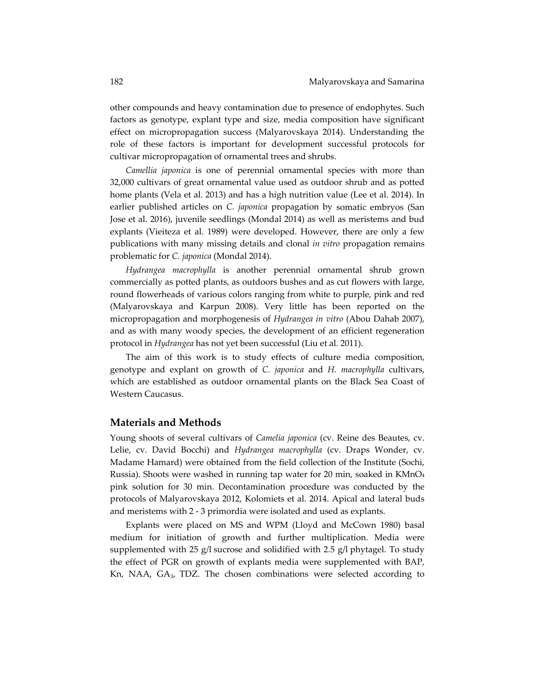other compounds and heavy contamination due to presence of endophytes. Such factors as genotype, explant type and size, media composition have significant effect on micropropagation success (Malyarovskaya 2014). Understanding the role of these factors is important for development successful protocols for cultivar micropropagation of ornamental trees and shrubs.

*Camellia japonica* is one of perennial ornamental species with more than 32,000 cultivars of great ornamental value used as outdoor shrub and as potted home plants (Vela et al. 2013) and has a high nutrition value (Lee et al. 2014). In earlier published articles on *C. japonica* propagation by somatic embryos (San Jose et al. 2016), juvenile seedlings (Mondal 2014) as well as meristems and bud explants (Vieiteza et al. 1989) were developed. However, there are only a few publications with many missing details and clonal *in vitro* propagation remains problematic for *C. japonica* (Mondal 2014).

*Hydrangea macrophylla* is another perennial ornamental shrub grown commercially as potted plants, as outdoors bushes and as cut flowers with large, round flowerheads of various colors ranging from white to purple, pink and red (Malyarovskaya and Karpun 2008). Very little has been reported on the micropropagation and morphogenesis of *Hydrangea in vitro* (Abou Dahab 2007), and as with many woody species, the development of an efficient regeneration protocol in *Hydrangea* has not yet been successful (Liu et al. 2011).

The aim of this work is to study effects of culture media composition, genotype and explant on growth of *C. japonica* and *H. macrophylla* cultivars, which are established as outdoor ornamental plants on the Black Sea Coast of Western Caucasus.

#### **Materials and Methods**

Young shoots of several cultivars of *Camelia japonica* (cv. Reine des Beautes, cv. Lelie, cv. David Bocchi) and *Hydrangea macrophylla* (cv. Draps Wonder, cv. Madame Hamard) were obtained from the field collection of the Institute (Sochi, Russia). Shoots were washed in running tap water for 20 min, soaked in KMnO4 pink solution for 30 min. Decontamination procedure was conducted by the protocols of Malyarovskaya 2012, Kolomiets et al. 2014. Apical and lateral buds and meristems with 2 ‐ 3 primordia were isolated and used as explants.

Explants were placed on MS and WPM (Lloyd and McCown 1980) basal medium for initiation of growth and further multiplication. Media were supplemented with 25  $g/l$  sucrose and solidified with 2.5  $g/l$  phytagel. To study the effect of PGR on growth of explants media were supplemented with BAP, Kn, NAA, GA3, TDZ. The chosen combinations were selected according to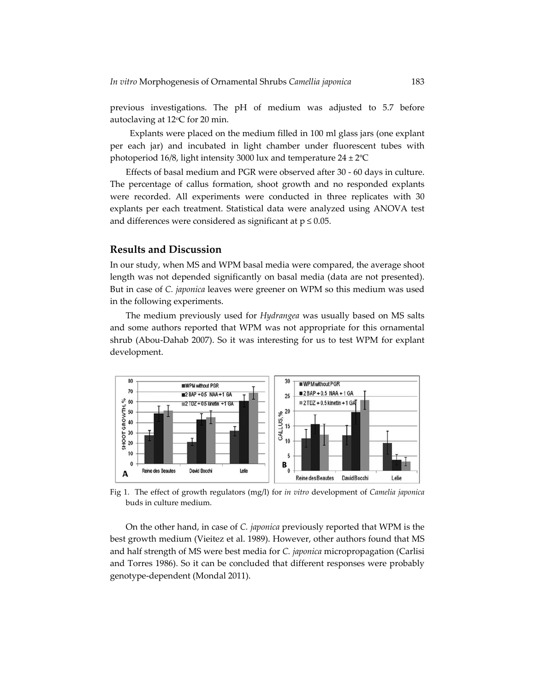previous investigations. The pH of medium was adjusted to 5.7 before autoclaving at  $12^{\circ}$ C for 20 min.

 Explants were placed on the medium filled in 100 ml glass jars (one explant per each jar) and incubated in light chamber under fluorescent tubes with photoperiod 16/8, light intensity 3000 lux and temperature 24 ± 2ºC

 Effects of basal medium and PGR were observed after 30 ‐ 60 days in culture. The percentage of callus formation, shoot growth and no responded explants were recorded. All experiments were conducted in three replicates with 30 explants per each treatment. Statistical data were analyzed using ANOVA test and differences were considered as significant at  $p \leq 0.05$ .

#### **Results and Discussion**

In our study, when MS and WPM basal media were compared, the average shoot length was not depended significantly on basal media (data are not presented). But in case of *C. japonica* leaves were greener on WPM so this medium was used in the following experiments.

The medium previously used for *Hydrangea* was usually based on MS salts and some authors reported that WPM was not appropriate for this ornamental shrub (Abou‐Dahab 2007). So it was interesting for us to test WPM for explant development.



Fig 1. The effect of growth regulators (mg/l) for *in vitro* development of *Camelia japonica* buds in culture medium.

On the other hand, in case of *C. japonica* previously reported that WPM is the best growth medium (Vieitez et al. 1989). However, other authors found that MS and half strength of MS were best media for *C. japonica* micropropagation (Carlisi and Torres 1986). So it can be concluded that different responses were probably genotype‐dependent (Mondal 2011).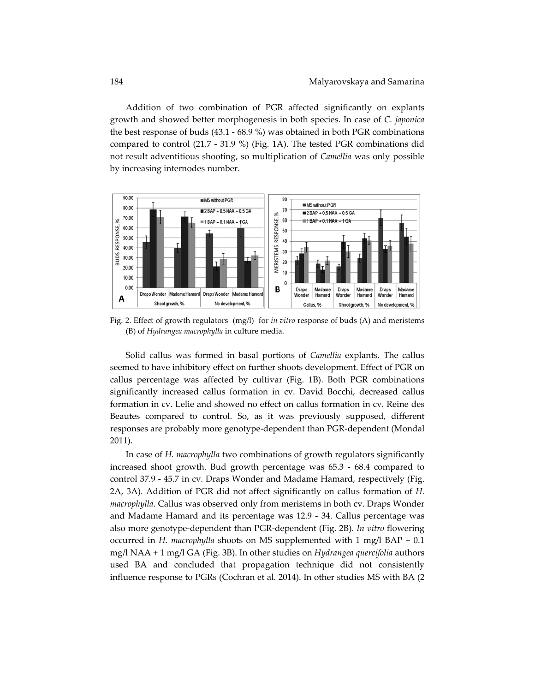Addition of two combination of PGR affected significantly on explants growth and showed better morphogenesis in both species. In case of *C. japonica* the best response of buds (43.1 ‐ 68.9 %) was obtained in both PGR combinations compared to control (21.7 - 31.9 %) (Fig. 1A). The tested PGR combinations did not result adventitious shooting, so multiplication of *Camellia* was only possible by increasing internodes number.



Fig. 2. Effect of growth regulators (mg/l) for *in vitro* response of buds (A) and meristems (B) of *Hydrangea macrophylla* in culture media.

Solid callus was formed in basal portions of *Camellia* explants. The callus seemed to have inhibitory effect on further shoots development. Effect of PGR on callus percentage was affected by cultivar (Fig. 1B). Both PGR combinations significantly increased callus formation in cv. David Bocchi, decreased callus formation in cv. Lelie and showed no effect on callus formation in cv. Reine des Beautes compared to control. So, as it was previously supposed, different responses are probably more genotype‐dependent than PGR‐dependent (Mondal 2011).

In case of *H. macrophylla* two combinations of growth regulators significantly increased shoot growth. Bud growth percentage was 65.3 ‐ 68.4 compared to control 37.9 ‐ 45.7 in cv. Draps Wonder and Madame Hamard, respectively (Fig. 2A, 3A). Addition of PGR did not affect significantly on callus formation of *H. macrophylla*. Callus was observed only from meristems in both cv. Draps Wonder and Madame Hamard and its percentage was 12.9 ‐ 34. Callus percentage was also more genotype‐dependent than PGR‐dependent (Fig. 2B). *In vitro* flowering occurred in *H. macrophylla* shoots on MS supplemented with 1 mg/l BAP + 0.1 mg/l NAA + 1 mg/l GA (Fig. 3B). In other studies on *Hydrangea quercifolia* authors used BA and concluded that propagation technique did not consistently influence response to PGRs (Cochran et al. 2014). In other studies MS with BA (2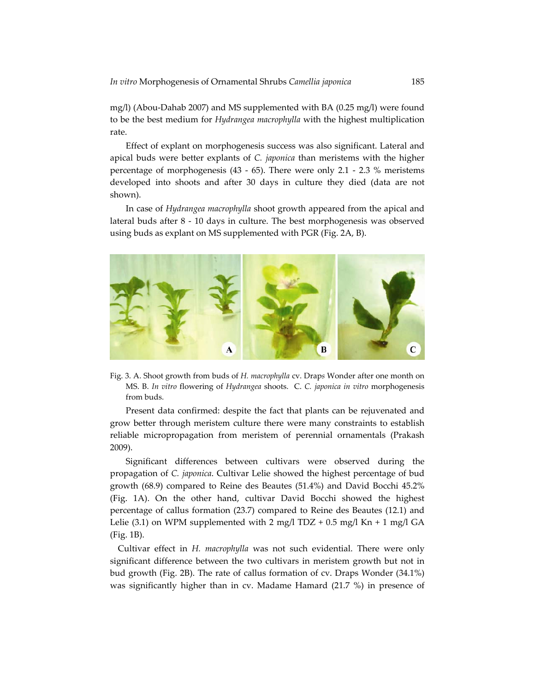mg/l) (Abou‐Dahab 2007) and MS supplemented with BA (0.25 mg/l) were found to be the best medium for *Hydrangea macrophylla* with the highest multiplication rate.

Effect of explant on morphogenesis success was also significant. Lateral and apical buds were better explants of *C. japonica* than meristems with the higher percentage of morphogenesis  $(43 - 65)$ . There were only 2.1 - 2.3 % meristems developed into shoots and after 30 days in culture they died (data are not shown).

In case of *Hydrangea macrophylla* shoot growth appeared from the apical and lateral buds after 8 - 10 days in culture. The best morphogenesis was observed using buds as explant on MS supplemented with PGR (Fig. 2A, B).



Fig. 3. A. Shoot growth from buds of *H. macrophylla* cv. Drap*s* Wonder after one month on MS. B. *In vitro* flowering of *Hydrangea* shoots. C. *C. japonica in vitro* morphogenesis from buds.

Present data confirmed: despite the fact that plants can be rejuvenated and grow better through meristem culture there were many constraints to establish reliable micropropagation from meristem of perennial ornamentals (Prakash 2009).

Significant differences between cultivars were observed during the propagation of *C. japonica*. Cultivar Lelie showed the highest percentage of bud growth (68.9) compared to Reine des Beautes (51.4%) and David Bocchi 45.2% (Fig. 1A). On the other hand, cultivar David Bocchi showed the highest percentage of callus formation (23.7) compared to Reine des Beautes (12.1) and Lelie (3.1) on WPM supplemented with 2 mg/l TDZ + 0.5 mg/l Kn + 1 mg/l GA (Fig. 1B).

Cultivar effect in *H. macrophylla* was not such evidential. There were only significant difference between the two cultivars in meristem growth but not in bud growth (Fig. 2B). The rate of callus formation of cv. Draps Wonder (34.1%) was significantly higher than in cv. Madame Hamard (21.7 %) in presence of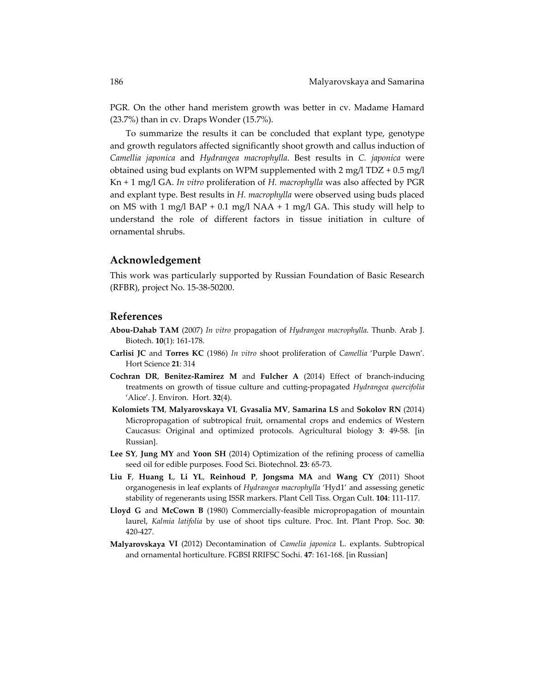PGR*.* On the other hand meristem growth was better in cv. Madame Hamard (23.7%) than in cv*.* Draps Wonder (15.7%).

To summarize the results it can be concluded that explant type, genotype and growth regulators affected significantly shoot growth and callus induction of *Camellia japonica* and *Hydrangea macrophylla*. Best results in *C. japonica* were obtained using bud explants on WPM supplemented with  $2 \text{ mg/l} \text{ TDZ} + 0.5 \text{ mg/l}$ Kn + 1 mg/l GA. *In vitro* proliferation of *H. macrophylla* was also affected by PGR and explant type. Best results in *H. macrophylla* were observed using buds placed on MS with 1 mg/l BAP + 0.1 mg/l NAA + 1 mg/l GA. This study will help to understand the role of different factors in tissue initiation in culture of ornamental shrubs.

#### **Acknowledgement**

This work was particularly supported by Russian Foundation of Basic Research (RFBR), project No. 15‐38‐50200.

### **References**

- **Abou‐Dahab TAM** (2007) *In vitro* propagation of *Hydrangea macrophylla*. Thunb. Arab J. Biotech. **10**(1): 161‐178.
- **Carlisi JC** and **Torres KC** (1986) *In vitro* shoot proliferation of *Camellia* 'Purple Dawn'. Hort Science **21**: 314
- **Cochran DR**, **Benitez‐Ramirez M** and **Fulcher A** (2014) Effect of branch‐inducing treatments on growth of tissue culture and cutting‐propagated *Hydrangea quercifolia* 'Alice'. J. Environ. Hort. **32**(4).
- **Kolomiets TM**, **Malyarovskaya VI**, **Gvasalia MV**, **Samarina LS** and **Sokolov RN** (2014) Micropropagation of subtropical fruit, ornamental crops and endemics of Western Caucasus: Original and optimized protocols. Agricultural biology **3**: 49‐58. [in Russian].
- **Lee SY**, **Jung MY** and **Yoon SH** (2014) Optimization of the refining process of camellia seed oil for edible purposes. Food Sci. Biotechnol. **23**: 65‐73.
- **Liu F**, **Huang L**, **Li YL**, **Reinhoud P**, **Jongsma MA** and **Wang CY** (2011) Shoot organogenesis in leaf explants of *Hydrangea macrophylla* 'Hyd1' and assessing genetic stability of regenerants using ISSR markers. Plant Cell Tiss. Organ Cult. **104**: 111‐117.
- **Lloyd G** and **McCown B** (1980) Commercially‐feasible micropropagation of mountain laurel, *Kalmia latifolia* by use of shoot tips culture. Proc. Int. Plant Prop. Soc. **30**: 420‐427.
- **Malyarovskaya VI** (2012) Decontamination of *Сamelia japonica* L. explants. Subtropical and ornamental horticulture. FGBSI RRIFSC Sochi. **47**: 161‐168. [in Russian]